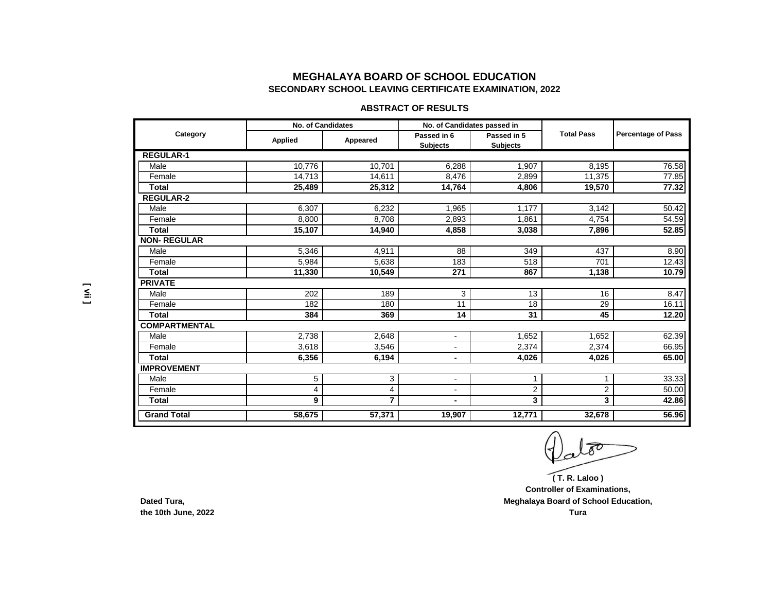## **MEGHALAYA BOARD OF SCHOOL EDUCATION SECONDARY SCHOOL LEAVING CERTIFICATE EXAMINATION, 2022**

### **ABSTRACT OF RESULTS**

| Category             | <b>No. of Candidates</b> |                | No. of Candidates passed in |                 |                   |                           |
|----------------------|--------------------------|----------------|-----------------------------|-----------------|-------------------|---------------------------|
|                      | <b>Applied</b>           | Appeared       | Passed in 6                 | Passed in 5     | <b>Total Pass</b> | <b>Percentage of Pass</b> |
|                      |                          |                | <b>Subjects</b>             | <b>Subjects</b> |                   |                           |
| <b>REGULAR-1</b>     |                          |                |                             |                 |                   |                           |
| Male                 | 10.776                   | 10.701         | 6,288                       | 1,907           | 8,195             | 76.58                     |
| Female               | 14,713                   | 14,611         | 8,476                       | 2,899           | 11,375            | 77.85                     |
| <b>Total</b>         | 25,489                   | 25,312         | 14,764                      | 4,806           | 19,570            | 77.32                     |
| <b>REGULAR-2</b>     |                          |                |                             |                 |                   |                           |
| Male                 | 6,307                    | 6,232          | 1,965                       | 1,177           | 3,142             | 50.42                     |
| Female               | 8,800                    | 8,708          | 2,893                       | 1,861           | 4,754             | 54.59                     |
| Total                | 15,107                   | 14,940         | 4,858                       | 3,038           | 7,896             | 52.85                     |
| <b>NON-REGULAR</b>   |                          |                |                             |                 |                   |                           |
| Male                 | 5,346                    | 4,911          | 88                          | 349             | 437               | 8.90                      |
| Female               | 5,984                    | 5,638          | 183                         | 518             | 701               | 12.43                     |
| <b>Total</b>         | 11,330                   | 10,549         | 271                         | 867             | 1,138             | 10.79                     |
| <b>PRIVATE</b>       |                          |                |                             |                 |                   |                           |
| Male                 | 202                      | 189            | 3                           | 13              | 16                | 8.47                      |
| Female               | 182                      | 180            | 11                          | 18              | 29                | 16.11                     |
| Total                | 384                      | 369            | 14                          | 31              | 45                | 12.20                     |
| <b>COMPARTMENTAL</b> |                          |                |                             |                 |                   |                           |
| Male                 | 2.738                    | 2,648          | $\overline{a}$              | 1,652           | 1,652             | 62.39                     |
| Female               | 3,618                    | 3,546          | $\overline{a}$              | 2,374           | 2,374             | 66.95                     |
| <b>Total</b>         | 6,356                    | 6,194          | $\blacksquare$              | 4,026           | 4,026             | 65.00                     |
| <b>IMPROVEMENT</b>   |                          |                |                             |                 |                   |                           |
| Male                 | 5                        | 3              | $\blacksquare$              | 1               |                   | 33.33                     |
| Female               | 4                        | 4              | $\blacksquare$              | $\overline{c}$  | $\overline{2}$    | 50.00                     |
| <b>Total</b>         | 9                        | $\overline{7}$ |                             | 3               | 3                 | 42.86                     |
| <b>Grand Total</b>   | 58.675                   | 57,371         | 19,907                      | 12,771          | 32,678            | 56.96                     |

**( T. R. Laloo )**

**Controller of Examinations, Meghalaya Board of School Education,**

**Dated Tura, the 10th June, 2022**

**[ vii ]**

**Tura**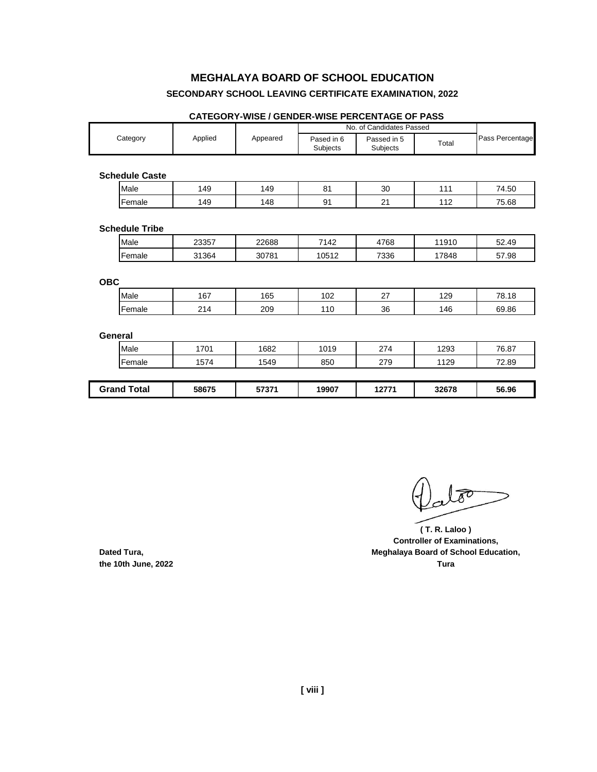# **MEGHALAYA BOARD OF SCHOOL EDUCATION**

### **SECONDARY SCHOOL LEAVING CERTIFICATE EXAMINATION, 2022**

|                       |         |          | No. of Candidates Passed |                         |       |                 |
|-----------------------|---------|----------|--------------------------|-------------------------|-------|-----------------|
| Category              | Applied | Appeared | Pased in 6<br>Subjects   | Passed in 5<br>Subjects | Total | Pass Percentage |
|                       |         |          |                          |                         |       |                 |
| <b>Schedule Caste</b> |         |          |                          |                         |       |                 |
| Male                  | 149     | 149      | 81                       | 30                      | 111   | 74.50           |
| Female                | 149     | 148      | 91                       | 21                      | 112   | 75.68           |
|                       |         |          |                          |                         |       |                 |
| <b>Schedule Tribe</b> |         |          |                          |                         |       |                 |
| Male                  | 23357   | 22688    | 7142                     | 4768                    | 11910 | 52.49           |
| Female                | 31364   | 30781    | 10512                    | 7336                    | 17848 | 57.98           |
|                       |         |          |                          |                         |       |                 |
| <b>OBC</b>            |         |          |                          |                         |       |                 |
| Male                  | 167     | 165      | 102                      | 27                      | 129   | 78.18           |
| Female                | 214     | 209      | 110                      | 36                      | 146   | 69.86           |
|                       |         |          |                          |                         |       |                 |
| <b>General</b>        |         |          |                          |                         |       |                 |
| Male                  | 1701    | 1682     | 1019                     | 274                     | 1293  | 76.87           |
| Female                | 1574    | 1549     | 850                      | 279                     | 1129  | 72.89           |
|                       |         |          |                          |                         |       |                 |
| <b>Grand Total</b>    | 58675   | 57371    | 19907                    | 12771                   | 32678 | 56.96           |

#### **CATEGORY-WISE / GENDER-WISE PERCENTAGE OF PASS**

**( T. R. Laloo ) Controller of Examinations, Dated Tura, Dated Tura, Meghalaya Board of School Education, Meghalaya Board of School Education, the 10th June, 2022 Tura**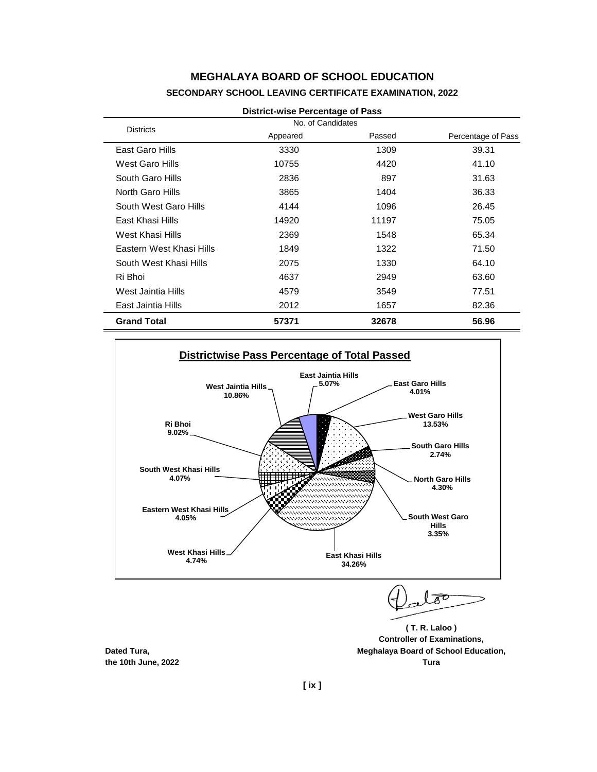## **MEGHALAYA BOARD OF SCHOOL EDUCATION SECONDARY SCHOOL LEAVING CERTIFICATE EXAMINATION, 2022**

| <b>District-wise Percentage of Pass</b> |                   |        |                    |  |  |  |
|-----------------------------------------|-------------------|--------|--------------------|--|--|--|
| <b>Districts</b>                        | No. of Candidates |        |                    |  |  |  |
|                                         | Appeared          | Passed | Percentage of Pass |  |  |  |
| East Garo Hills                         | 3330              | 1309   | 39.31              |  |  |  |
| West Garo Hills                         | 10755             | 4420   | 41.10              |  |  |  |
| South Garo Hills                        | 2836              | 897    | 31.63              |  |  |  |
| North Garo Hills                        | 3865              | 1404   | 36.33              |  |  |  |
| South West Garo Hills                   | 4144              | 1096   | 26.45              |  |  |  |
| East Khasi Hills                        | 14920             | 11197  | 75.05              |  |  |  |
| West Khasi Hills                        | 2369              | 1548   | 65.34              |  |  |  |
| Eastern West Khasi Hills                | 1849              | 1322   | 71.50              |  |  |  |
| South West Khasi Hills                  | 2075              | 1330   | 64.10              |  |  |  |
| Ri Bhoi                                 | 4637              | 2949   | 63.60              |  |  |  |
| West Jaintia Hills                      | 4579              | 3549   | 77.51              |  |  |  |
| East Jaintia Hills                      | 2012              | 1657   | 82.36              |  |  |  |
| <b>Grand Total</b>                      | 57371             | 32678  | 56.96              |  |  |  |



 $\widehat{\mathscr{E}}$ 

**( T. R. Laloo ) Controller of Examinations, Dated Tura, Meghalaya Board of School Education, the 10th June, 2022 Tura**